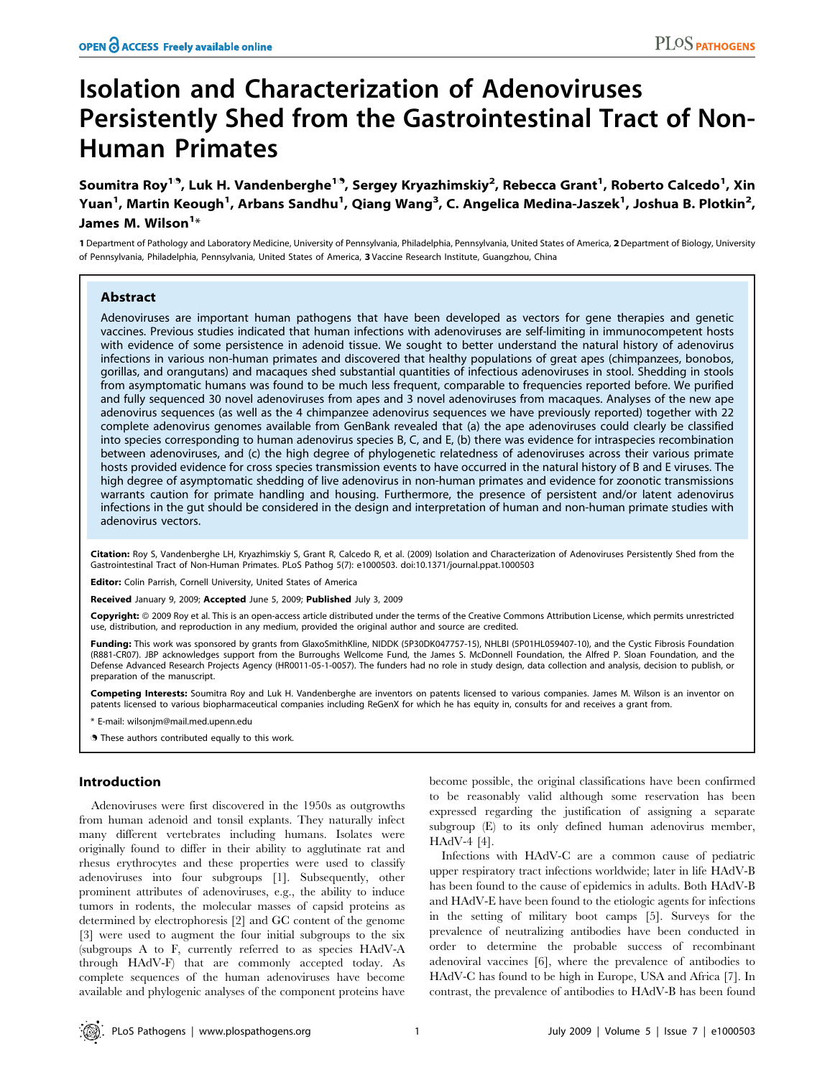# Isolation and Characterization of Adenoviruses Persistently Shed from the Gastrointestinal Tract of Non-Human Primates

Soumitra Roy<sup>19</sup>, Luk H. Vandenberghe<sup>19</sup>, Sergey Kryazhimskiy<sup>2</sup>, Rebecca Grant<sup>1</sup>, Roberto Calcedo<sup>1</sup>, Xin Yuan<sup>1</sup>, Martin Keough<sup>1</sup>, Arbans Sandhu<sup>1</sup>, Qiang Wang<sup>3</sup>, C. Angelica Medina-Jaszek<sup>1</sup>, Joshua B. Plotkin<sup>2</sup>, James M. Wilson $^{\mathsf{1}\ast}$ 

1 Department of Pathology and Laboratory Medicine, University of Pennsylvania, Philadelphia, Pennsylvania, United States of America, 2 Department of Biology, University of Pennsylvania, Philadelphia, Pennsylvania, United States of America, 3 Vaccine Research Institute, Guangzhou, China

# Abstract

Adenoviruses are important human pathogens that have been developed as vectors for gene therapies and genetic vaccines. Previous studies indicated that human infections with adenoviruses are self-limiting in immunocompetent hosts with evidence of some persistence in adenoid tissue. We sought to better understand the natural history of adenovirus infections in various non-human primates and discovered that healthy populations of great apes (chimpanzees, bonobos, gorillas, and orangutans) and macaques shed substantial quantities of infectious adenoviruses in stool. Shedding in stools from asymptomatic humans was found to be much less frequent, comparable to frequencies reported before. We purified and fully sequenced 30 novel adenoviruses from apes and 3 novel adenoviruses from macaques. Analyses of the new ape adenovirus sequences (as well as the 4 chimpanzee adenovirus sequences we have previously reported) together with 22 complete adenovirus genomes available from GenBank revealed that (a) the ape adenoviruses could clearly be classified into species corresponding to human adenovirus species B, C, and E, (b) there was evidence for intraspecies recombination between adenoviruses, and (c) the high degree of phylogenetic relatedness of adenoviruses across their various primate hosts provided evidence for cross species transmission events to have occurred in the natural history of B and E viruses. The high degree of asymptomatic shedding of live adenovirus in non-human primates and evidence for zoonotic transmissions warrants caution for primate handling and housing. Furthermore, the presence of persistent and/or latent adenovirus infections in the gut should be considered in the design and interpretation of human and non-human primate studies with adenovirus vectors.

Citation: Roy S, Vandenberghe LH, Kryazhimskiy S, Grant R, Calcedo R, et al. (2009) Isolation and Characterization of Adenoviruses Persistently Shed from the Gastrointestinal Tract of Non-Human Primates. PLoS Pathog 5(7): e1000503. doi:10.1371/journal.ppat.1000503

Editor: Colin Parrish, Cornell University, United States of America

Received January 9, 2009; Accepted June 5, 2009; Published July 3, 2009

Copyright: @ 2009 Roy et al. This is an open-access article distributed under the terms of the Creative Commons Attribution License, which permits unrestricted use, distribution, and reproduction in any medium, provided the original author and source are credited.

Funding: This work was sponsored by grants from GlaxoSmithKline, NIDDK (5P30DK047757-15), NHLBI (5P01HL059407-10), and the Cystic Fibrosis Foundation (R881-CR07). JBP acknowledges support from the Burroughs Wellcome Fund, the James S. McDonnell Foundation, the Alfred P. Sloan Foundation, and the Defense Advanced Research Projects Agency (HR0011-05-1-0057). The funders had no role in study design, data collection and analysis, decision to publish, or preparation of the manuscript.

Competing Interests: Soumitra Roy and Luk H. Vandenberghe are inventors on patents licensed to various companies. James M. Wilson is an inventor on patents licensed to various biopharmaceutical companies including ReGenX for which he has equity in, consults for and receives a grant from.

\* E-mail: wilsonjm@mail.med.upenn.edu

. These authors contributed equally to this work.

## Introduction

Adenoviruses were first discovered in the 1950s as outgrowths from human adenoid and tonsil explants. They naturally infect many different vertebrates including humans. Isolates were originally found to differ in their ability to agglutinate rat and rhesus erythrocytes and these properties were used to classify adenoviruses into four subgroups [1]. Subsequently, other prominent attributes of adenoviruses, e.g., the ability to induce tumors in rodents, the molecular masses of capsid proteins as determined by electrophoresis [2] and GC content of the genome [3] were used to augment the four initial subgroups to the six (subgroups A to F, currently referred to as species HAdV-A through HAdV-F) that are commonly accepted today. As complete sequences of the human adenoviruses have become available and phylogenic analyses of the component proteins have

become possible, the original classifications have been confirmed to be reasonably valid although some reservation has been expressed regarding the justification of assigning a separate subgroup (E) to its only defined human adenovirus member, HAdV-4 [4].

Infections with HAdV-C are a common cause of pediatric upper respiratory tract infections worldwide; later in life HAdV-B has been found to the cause of epidemics in adults. Both HAdV-B and HAdV-E have been found to the etiologic agents for infections in the setting of military boot camps [5]. Surveys for the prevalence of neutralizing antibodies have been conducted in order to determine the probable success of recombinant adenoviral vaccines [6], where the prevalence of antibodies to HAdV-C has found to be high in Europe, USA and Africa [7]. In contrast, the prevalence of antibodies to HAdV-B has been found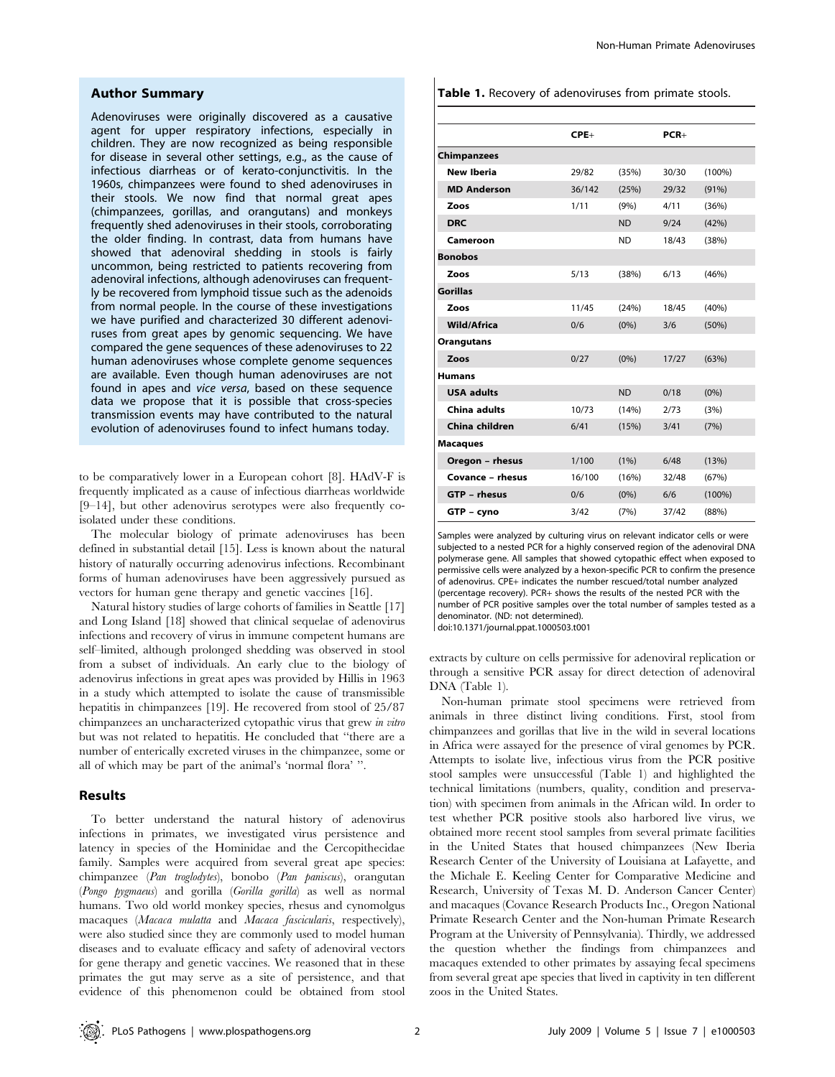## Author Summary

Adenoviruses were originally discovered as a causative agent for upper respiratory infections, especially in children. They are now recognized as being responsible for disease in several other settings, e.g., as the cause of infectious diarrheas or of kerato-conjunctivitis. In the 1960s, chimpanzees were found to shed adenoviruses in their stools. We now find that normal great apes (chimpanzees, gorillas, and orangutans) and monkeys frequently shed adenoviruses in their stools, corroborating the older finding. In contrast, data from humans have showed that adenoviral shedding in stools is fairly uncommon, being restricted to patients recovering from adenoviral infections, although adenoviruses can frequently be recovered from lymphoid tissue such as the adenoids from normal people. In the course of these investigations we have purified and characterized 30 different adenoviruses from great apes by genomic sequencing. We have compared the gene sequences of these adenoviruses to 22 human adenoviruses whose complete genome sequences are available. Even though human adenoviruses are not found in apes and vice versa, based on these sequence data we propose that it is possible that cross-species transmission events may have contributed to the natural evolution of adenoviruses found to infect humans today.

to be comparatively lower in a European cohort [8]. HAdV-F is frequently implicated as a cause of infectious diarrheas worldwide [9–14], but other adenovirus serotypes were also frequently coisolated under these conditions.

The molecular biology of primate adenoviruses has been defined in substantial detail [15]. Less is known about the natural history of naturally occurring adenovirus infections. Recombinant forms of human adenoviruses have been aggressively pursued as vectors for human gene therapy and genetic vaccines [16].

Natural history studies of large cohorts of families in Seattle [17] and Long Island [18] showed that clinical sequelae of adenovirus infections and recovery of virus in immune competent humans are self–limited, although prolonged shedding was observed in stool from a subset of individuals. An early clue to the biology of adenovirus infections in great apes was provided by Hillis in 1963 in a study which attempted to isolate the cause of transmissible hepatitis in chimpanzees [19]. He recovered from stool of 25/87 chimpanzees an uncharacterized cytopathic virus that grew in vitro but was not related to hepatitis. He concluded that ''there are a number of enterically excreted viruses in the chimpanzee, some or all of which may be part of the animal's 'normal flora' ''.

## Results

To better understand the natural history of adenovirus infections in primates, we investigated virus persistence and latency in species of the Hominidae and the Cercopithecidae family. Samples were acquired from several great ape species: chimpanzee (Pan troglodytes), bonobo (Pan paniscus), orangutan (Pongo pygmaeus) and gorilla (Gorilla gorilla) as well as normal humans. Two old world monkey species, rhesus and cynomolgus macaques (Macaca mulatta and Macaca fascicularis, respectively), were also studied since they are commonly used to model human diseases and to evaluate efficacy and safety of adenoviral vectors for gene therapy and genetic vaccines. We reasoned that in these primates the gut may serve as a site of persistence, and that evidence of this phenomenon could be obtained from stool

|  |  |  |  | Table 1. Recovery of adenoviruses from primate stools. |  |  |  |
|--|--|--|--|--------------------------------------------------------|--|--|--|
|--|--|--|--|--------------------------------------------------------|--|--|--|

| $CPE+$ |           | $PCR+$ |           |
|--------|-----------|--------|-----------|
|        |           |        |           |
| 29/82  | (35%)     | 30/30  | $(100\%)$ |
| 36/142 | (25%)     | 29/32  | (91%)     |
| 1/11   | (9% )     | 4/11   | (36%)     |
|        | <b>ND</b> | 9/24   | (42%)     |
|        | <b>ND</b> | 18/43  | (38%)     |
|        |           |        |           |
| 5/13   | (38%)     | 6/13   | (46%)     |
|        |           |        |           |
| 11/45  | (24%)     | 18/45  | (40%)     |
| 0/6    | (0% )     | 3/6    | (50%)     |
|        |           |        |           |
| 0/27   | (0% )     | 17/27  | (63%)     |
|        |           |        |           |
|        | <b>ND</b> | 0/18   | $(0\%)$   |
| 10/73  | (14%)     | 2/73   | (3%)      |
| 6/41   | (15%)     | 3/41   | (7%)      |
|        |           |        |           |
| 1/100  | (1%)      | 6/48   | (13%)     |
| 16/100 | (16%)     | 32/48  | (67%)     |
| 0/6    | $(0\%)$   | 6/6    | $(100\%)$ |
| 3/42   | (7%)      | 37/42  | (88%)     |
|        |           |        |           |

Samples were analyzed by culturing virus on relevant indicator cells or were subjected to a nested PCR for a highly conserved region of the adenoviral DNA polymerase gene. All samples that showed cytopathic effect when exposed to permissive cells were analyzed by a hexon-specific PCR to confirm the presence of adenovirus. CPE+ indicates the number rescued/total number analyzed (percentage recovery). PCR+ shows the results of the nested PCR with the number of PCR positive samples over the total number of samples tested as a denominator. (ND: not determined).

doi:10.1371/journal.ppat.1000503.t001

extracts by culture on cells permissive for adenoviral replication or through a sensitive PCR assay for direct detection of adenoviral DNA (Table 1).

Non-human primate stool specimens were retrieved from animals in three distinct living conditions. First, stool from chimpanzees and gorillas that live in the wild in several locations in Africa were assayed for the presence of viral genomes by PCR. Attempts to isolate live, infectious virus from the PCR positive stool samples were unsuccessful (Table 1) and highlighted the technical limitations (numbers, quality, condition and preservation) with specimen from animals in the African wild. In order to test whether PCR positive stools also harbored live virus, we obtained more recent stool samples from several primate facilities in the United States that housed chimpanzees (New Iberia Research Center of the University of Louisiana at Lafayette, and the Michale E. Keeling Center for Comparative Medicine and Research, University of Texas M. D. Anderson Cancer Center) and macaques (Covance Research Products Inc., Oregon National Primate Research Center and the Non-human Primate Research Program at the University of Pennsylvania). Thirdly, we addressed the question whether the findings from chimpanzees and macaques extended to other primates by assaying fecal specimens from several great ape species that lived in captivity in ten different zoos in the United States.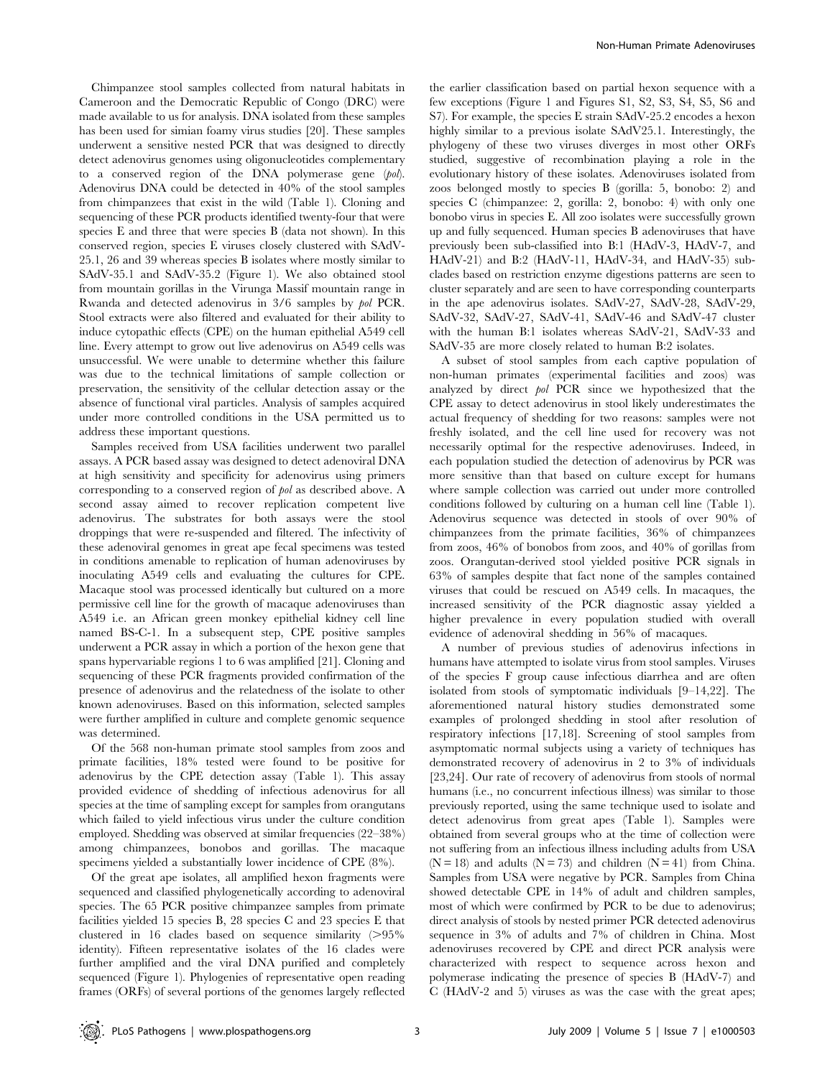Chimpanzee stool samples collected from natural habitats in Cameroon and the Democratic Republic of Congo (DRC) were made available to us for analysis. DNA isolated from these samples has been used for simian foamy virus studies [20]. These samples underwent a sensitive nested PCR that was designed to directly detect adenovirus genomes using oligonucleotides complementary to a conserved region of the DNA polymerase gene (pol). Adenovirus DNA could be detected in 40% of the stool samples from chimpanzees that exist in the wild (Table 1). Cloning and sequencing of these PCR products identified twenty-four that were species E and three that were species B (data not shown). In this conserved region, species E viruses closely clustered with SAdV-25.1, 26 and 39 whereas species B isolates where mostly similar to SAdV-35.1 and SAdV-35.2 (Figure 1). We also obtained stool from mountain gorillas in the Virunga Massif mountain range in Rwanda and detected adenovirus in 3/6 samples by pol PCR. Stool extracts were also filtered and evaluated for their ability to induce cytopathic effects (CPE) on the human epithelial A549 cell line. Every attempt to grow out live adenovirus on A549 cells was unsuccessful. We were unable to determine whether this failure was due to the technical limitations of sample collection or preservation, the sensitivity of the cellular detection assay or the absence of functional viral particles. Analysis of samples acquired under more controlled conditions in the USA permitted us to address these important questions.

Samples received from USA facilities underwent two parallel assays. A PCR based assay was designed to detect adenoviral DNA at high sensitivity and specificity for adenovirus using primers corresponding to a conserved region of pol as described above. A second assay aimed to recover replication competent live adenovirus. The substrates for both assays were the stool droppings that were re-suspended and filtered. The infectivity of these adenoviral genomes in great ape fecal specimens was tested in conditions amenable to replication of human adenoviruses by inoculating A549 cells and evaluating the cultures for CPE. Macaque stool was processed identically but cultured on a more permissive cell line for the growth of macaque adenoviruses than A549 i.e. an African green monkey epithelial kidney cell line named BS-C-1. In a subsequent step, CPE positive samples underwent a PCR assay in which a portion of the hexon gene that spans hypervariable regions 1 to 6 was amplified [21]. Cloning and sequencing of these PCR fragments provided confirmation of the presence of adenovirus and the relatedness of the isolate to other known adenoviruses. Based on this information, selected samples were further amplified in culture and complete genomic sequence was determined.

Of the 568 non-human primate stool samples from zoos and primate facilities, 18% tested were found to be positive for adenovirus by the CPE detection assay (Table 1). This assay provided evidence of shedding of infectious adenovirus for all species at the time of sampling except for samples from orangutans which failed to yield infectious virus under the culture condition employed. Shedding was observed at similar frequencies (22–38%) among chimpanzees, bonobos and gorillas. The macaque specimens yielded a substantially lower incidence of CPE (8%).

Of the great ape isolates, all amplified hexon fragments were sequenced and classified phylogenetically according to adenoviral species. The 65 PCR positive chimpanzee samples from primate facilities yielded 15 species B, 28 species C and 23 species E that clustered in 16 clades based on sequence similarity  $(>95\%$ identity). Fifteen representative isolates of the 16 clades were further amplified and the viral DNA purified and completely sequenced (Figure 1). Phylogenies of representative open reading frames (ORFs) of several portions of the genomes largely reflected

the earlier classification based on partial hexon sequence with a few exceptions (Figure 1 and Figures S1, S2, S3, S4, S5, S6 and S7). For example, the species E strain SAdV-25.2 encodes a hexon highly similar to a previous isolate SAdV25.1. Interestingly, the phylogeny of these two viruses diverges in most other ORFs studied, suggestive of recombination playing a role in the evolutionary history of these isolates. Adenoviruses isolated from zoos belonged mostly to species B (gorilla: 5, bonobo: 2) and species C (chimpanzee: 2, gorilla: 2, bonobo: 4) with only one bonobo virus in species E. All zoo isolates were successfully grown up and fully sequenced. Human species B adenoviruses that have previously been sub-classified into B:1 (HAdV-3, HAdV-7, and HAdV-21) and B:2 (HAdV-11, HAdV-34, and HAdV-35) subclades based on restriction enzyme digestions patterns are seen to cluster separately and are seen to have corresponding counterparts in the ape adenovirus isolates. SAdV-27, SAdV-28, SAdV-29, SAdV-32, SAdV-27, SAdV-41, SAdV-46 and SAdV-47 cluster with the human B:1 isolates whereas SAdV-21, SAdV-33 and SAdV-35 are more closely related to human B:2 isolates.

A subset of stool samples from each captive population of non-human primates (experimental facilities and zoos) was analyzed by direct pol PCR since we hypothesized that the CPE assay to detect adenovirus in stool likely underestimates the actual frequency of shedding for two reasons: samples were not freshly isolated, and the cell line used for recovery was not necessarily optimal for the respective adenoviruses. Indeed, in each population studied the detection of adenovirus by PCR was more sensitive than that based on culture except for humans where sample collection was carried out under more controlled conditions followed by culturing on a human cell line (Table 1). Adenovirus sequence was detected in stools of over 90% of chimpanzees from the primate facilities, 36% of chimpanzees from zoos, 46% of bonobos from zoos, and 40% of gorillas from zoos. Orangutan-derived stool yielded positive PCR signals in 63% of samples despite that fact none of the samples contained viruses that could be rescued on A549 cells. In macaques, the increased sensitivity of the PCR diagnostic assay yielded a higher prevalence in every population studied with overall evidence of adenoviral shedding in 56% of macaques.

A number of previous studies of adenovirus infections in humans have attempted to isolate virus from stool samples. Viruses of the species F group cause infectious diarrhea and are often isolated from stools of symptomatic individuals [9–14,22]. The aforementioned natural history studies demonstrated some examples of prolonged shedding in stool after resolution of respiratory infections [17,18]. Screening of stool samples from asymptomatic normal subjects using a variety of techniques has demonstrated recovery of adenovirus in 2 to 3% of individuals [23,24]. Our rate of recovery of adenovirus from stools of normal humans (i.e., no concurrent infectious illness) was similar to those previously reported, using the same technique used to isolate and detect adenovirus from great apes (Table 1). Samples were obtained from several groups who at the time of collection were not suffering from an infectious illness including adults from USA  $(N = 18)$  and adults  $(N = 73)$  and children  $(N = 41)$  from China. Samples from USA were negative by PCR. Samples from China showed detectable CPE in 14% of adult and children samples, most of which were confirmed by PCR to be due to adenovirus; direct analysis of stools by nested primer PCR detected adenovirus sequence in 3% of adults and 7% of children in China. Most adenoviruses recovered by CPE and direct PCR analysis were characterized with respect to sequence across hexon and polymerase indicating the presence of species B (HAdV-7) and C (HAdV-2 and 5) viruses as was the case with the great apes;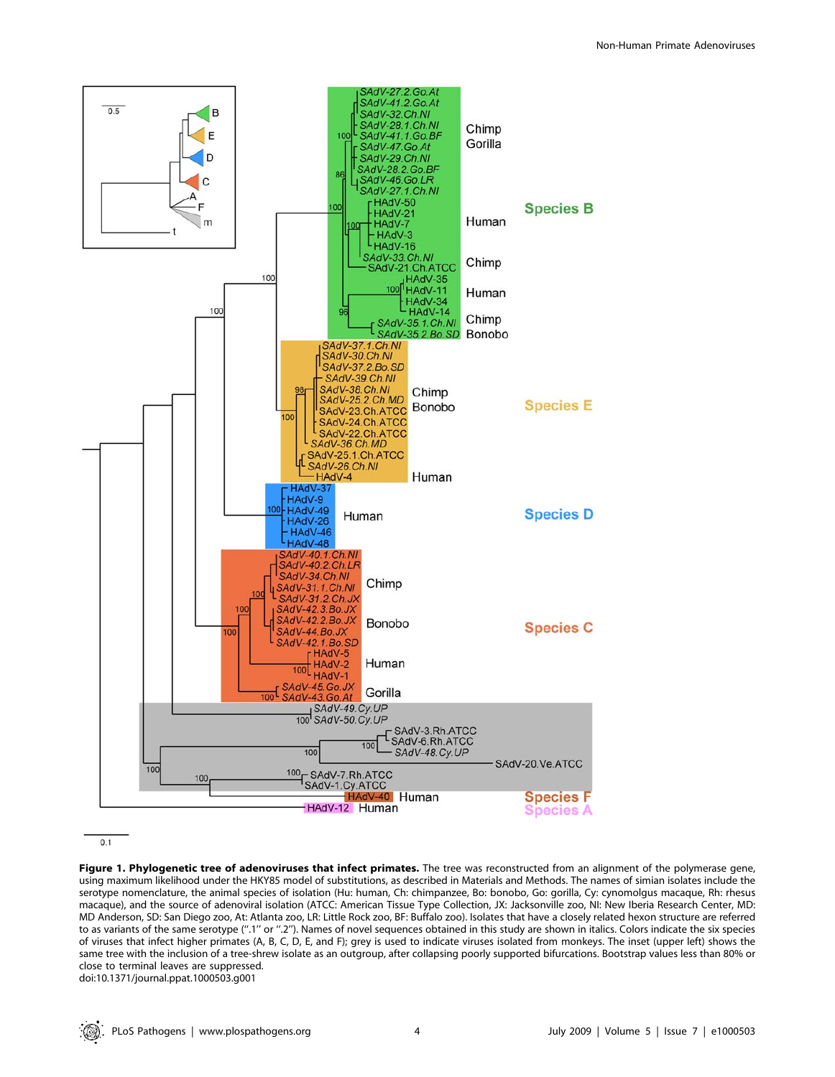

 $0<sub>1</sub>$ 

Figure 1. Phylogenetic tree of adenoviruses that infect primates. The tree was reconstructed from an alignment of the polymerase gene, using maximum likelihood under the HKY85 model of substitutions, as described in Materials and Methods. The names of simian isolates include the serotype nomenclature, the animal species of isolation (Hu: human, Ch: chimpanzee, Bo: bonobo, Go: gorilla, Cy: cynomolgus macaque, Rh: rhesus macaque), and the source of adenoviral isolation (ATCC: American Tissue Type Collection, JX: Jacksonville zoo, NI: New Iberia Research Center, MD: MD Anderson, SD: San Diego zoo, At: Atlanta zoo, LR: Little Rock zoo, BF: Buffalo zoo). Isolates that have a closely related hexon structure are referred to as variants of the same serotype (''.1'' or ''.2''). Names of novel sequences obtained in this study are shown in italics. Colors indicate the six species of viruses that infect higher primates (A, B, C, D, E, and F); grey is used to indicate viruses isolated from monkeys. The inset (upper left) shows the same tree with the inclusion of a tree-shrew isolate as an outgroup, after collapsing poorly supported bifurcations. Bootstrap values less than 80% or close to terminal leaves are suppressed. doi:10.1371/journal.ppat.1000503.g001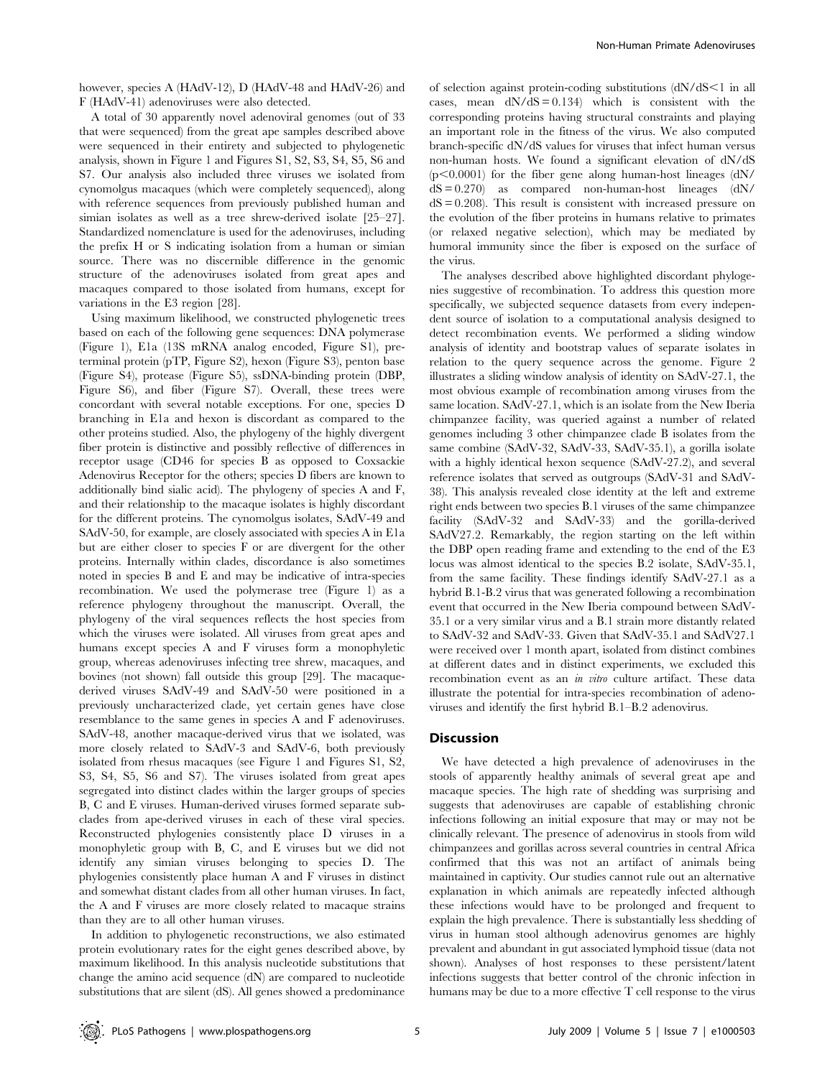however, species A (HAdV-12), D (HAdV-48 and HAdV-26) and F (HAdV-41) adenoviruses were also detected.

A total of 30 apparently novel adenoviral genomes (out of 33 that were sequenced) from the great ape samples described above were sequenced in their entirety and subjected to phylogenetic analysis, shown in Figure 1 and Figures S1, S2, S3, S4, S5, S6 and S7. Our analysis also included three viruses we isolated from cynomolgus macaques (which were completely sequenced), along with reference sequences from previously published human and simian isolates as well as a tree shrew-derived isolate [25–27]. Standardized nomenclature is used for the adenoviruses, including the prefix H or S indicating isolation from a human or simian source. There was no discernible difference in the genomic structure of the adenoviruses isolated from great apes and macaques compared to those isolated from humans, except for variations in the E3 region [28].

Using maximum likelihood, we constructed phylogenetic trees based on each of the following gene sequences: DNA polymerase (Figure 1), E1a (13S mRNA analog encoded, Figure S1), preterminal protein (pTP, Figure S2), hexon (Figure S3), penton base (Figure S4), protease (Figure S5), ssDNA-binding protein (DBP, Figure S6), and fiber (Figure S7). Overall, these trees were concordant with several notable exceptions. For one, species D branching in E1a and hexon is discordant as compared to the other proteins studied. Also, the phylogeny of the highly divergent fiber protein is distinctive and possibly reflective of differences in receptor usage (CD46 for species B as opposed to Coxsackie Adenovirus Receptor for the others; species D fibers are known to additionally bind sialic acid). The phylogeny of species A and F, and their relationship to the macaque isolates is highly discordant for the different proteins. The cynomolgus isolates, SAdV-49 and SAdV-50, for example, are closely associated with species A in E1a but are either closer to species F or are divergent for the other proteins. Internally within clades, discordance is also sometimes noted in species B and E and may be indicative of intra-species recombination. We used the polymerase tree (Figure 1) as a reference phylogeny throughout the manuscript. Overall, the phylogeny of the viral sequences reflects the host species from which the viruses were isolated. All viruses from great apes and humans except species A and F viruses form a monophyletic group, whereas adenoviruses infecting tree shrew, macaques, and bovines (not shown) fall outside this group [29]. The macaquederived viruses SAdV-49 and SAdV-50 were positioned in a previously uncharacterized clade, yet certain genes have close resemblance to the same genes in species A and F adenoviruses. SAdV-48, another macaque-derived virus that we isolated, was more closely related to SAdV-3 and SAdV-6, both previously isolated from rhesus macaques (see Figure 1 and Figures S1, S2, S3, S4, S5, S6 and S7). The viruses isolated from great apes segregated into distinct clades within the larger groups of species B, C and E viruses. Human-derived viruses formed separate subclades from ape-derived viruses in each of these viral species. Reconstructed phylogenies consistently place D viruses in a monophyletic group with B, C, and E viruses but we did not identify any simian viruses belonging to species D. The phylogenies consistently place human A and F viruses in distinct and somewhat distant clades from all other human viruses. In fact, the A and F viruses are more closely related to macaque strains than they are to all other human viruses.

In addition to phylogenetic reconstructions, we also estimated protein evolutionary rates for the eight genes described above, by maximum likelihood. In this analysis nucleotide substitutions that change the amino acid sequence (dN) are compared to nucleotide substitutions that are silent (dS). All genes showed a predominance

of selection against protein-coding substitutions (dN/dS<1 in all cases, mean  $dN/dS = 0.134$ ) which is consistent with the corresponding proteins having structural constraints and playing an important role in the fitness of the virus. We also computed branch-specific dN/dS values for viruses that infect human versus non-human hosts. We found a significant elevation of dN/dS  $(p<0.0001)$  for the fiber gene along human-host lineages  $(dN/d)$  $dS = 0.270$  as compared non-human-host lineages  $(dN/ds)$  $dS = 0.208$ . This result is consistent with increased pressure on the evolution of the fiber proteins in humans relative to primates (or relaxed negative selection), which may be mediated by humoral immunity since the fiber is exposed on the surface of the virus.

The analyses described above highlighted discordant phylogenies suggestive of recombination. To address this question more specifically, we subjected sequence datasets from every independent source of isolation to a computational analysis designed to detect recombination events. We performed a sliding window analysis of identity and bootstrap values of separate isolates in relation to the query sequence across the genome. Figure 2 illustrates a sliding window analysis of identity on SAdV-27.1, the most obvious example of recombination among viruses from the same location. SAdV-27.1, which is an isolate from the New Iberia chimpanzee facility, was queried against a number of related genomes including 3 other chimpanzee clade B isolates from the same combine (SAdV-32, SAdV-33, SAdV-35.1), a gorilla isolate with a highly identical hexon sequence (SAdV-27.2), and several reference isolates that served as outgroups (SAdV-31 and SAdV-38). This analysis revealed close identity at the left and extreme right ends between two species B.1 viruses of the same chimpanzee facility (SAdV-32 and SAdV-33) and the gorilla-derived SAdV27.2. Remarkably, the region starting on the left within the DBP open reading frame and extending to the end of the E3 locus was almost identical to the species B.2 isolate, SAdV-35.1, from the same facility. These findings identify SAdV-27.1 as a hybrid B.1-B.2 virus that was generated following a recombination event that occurred in the New Iberia compound between SAdV-35.1 or a very similar virus and a B.1 strain more distantly related to SAdV-32 and SAdV-33. Given that SAdV-35.1 and SAdV27.1 were received over 1 month apart, isolated from distinct combines at different dates and in distinct experiments, we excluded this recombination event as an in vitro culture artifact. These data illustrate the potential for intra-species recombination of adenoviruses and identify the first hybrid B.1–B.2 adenovirus.

## **Discussion**

We have detected a high prevalence of adenoviruses in the stools of apparently healthy animals of several great ape and macaque species. The high rate of shedding was surprising and suggests that adenoviruses are capable of establishing chronic infections following an initial exposure that may or may not be clinically relevant. The presence of adenovirus in stools from wild chimpanzees and gorillas across several countries in central Africa confirmed that this was not an artifact of animals being maintained in captivity. Our studies cannot rule out an alternative explanation in which animals are repeatedly infected although these infections would have to be prolonged and frequent to explain the high prevalence. There is substantially less shedding of virus in human stool although adenovirus genomes are highly prevalent and abundant in gut associated lymphoid tissue (data not shown). Analyses of host responses to these persistent/latent infections suggests that better control of the chronic infection in humans may be due to a more effective T cell response to the virus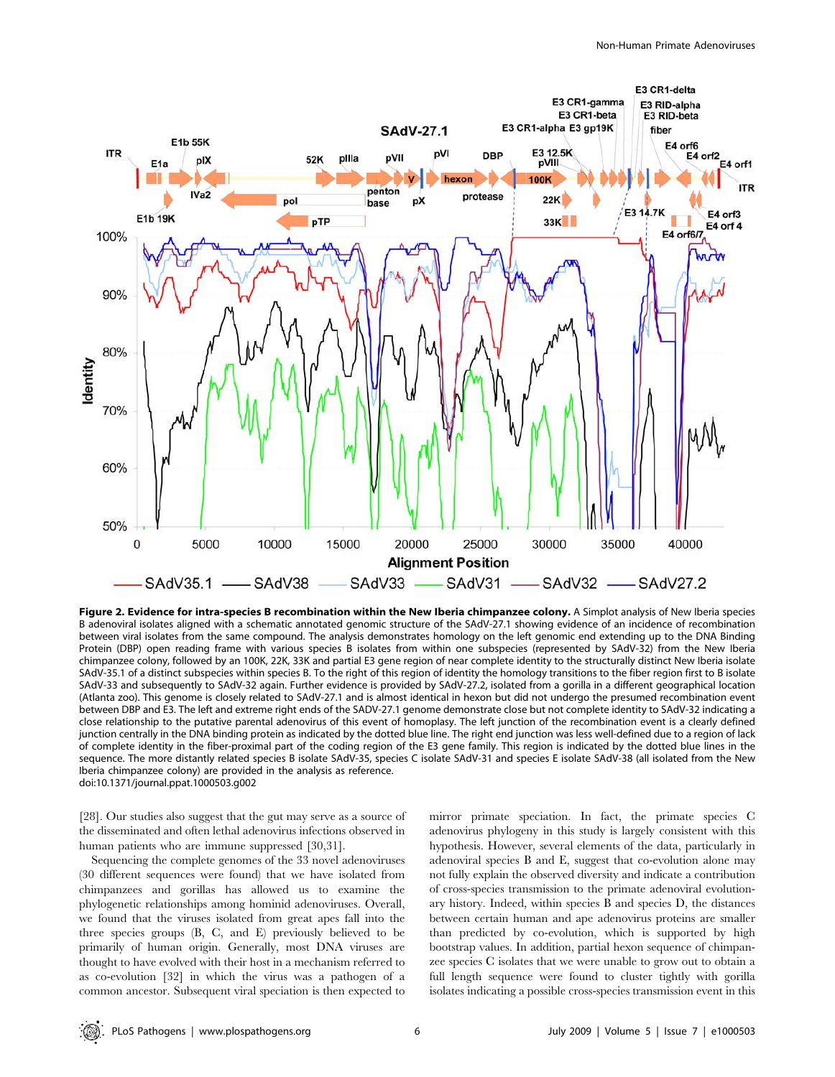

Figure 2. Evidence for intra-species B recombination within the New Iberia chimpanzee colony. A Simplot analysis of New Iberia species B adenoviral isolates aligned with a schematic annotated genomic structure of the SAdV-27.1 showing evidence of an incidence of recombination between viral isolates from the same compound. The analysis demonstrates homology on the left genomic end extending up to the DNA Binding Protein (DBP) open reading frame with various species B isolates from within one subspecies (represented by SAdV-32) from the New Iberia chimpanzee colony, followed by an 100K, 22K, 33K and partial E3 gene region of near complete identity to the structurally distinct New Iberia isolate SAdV-35.1 of a distinct subspecies within species B. To the right of this region of identity the homology transitions to the fiber region first to B isolate SAdV-33 and subsequently to SAdV-32 again. Further evidence is provided by SAdV-27.2, isolated from a gorilla in a different geographical location (Atlanta zoo). This genome is closely related to SAdV-27.1 and is almost identical in hexon but did not undergo the presumed recombination event between DBP and E3. The left and extreme right ends of the SADV-27.1 genome demonstrate close but not complete identity to SAdV-32 indicating a close relationship to the putative parental adenovirus of this event of homoplasy. The left junction of the recombination event is a clearly defined junction centrally in the DNA binding protein as indicated by the dotted blue line. The right end junction was less well-defined due to a region of lack of complete identity in the fiber-proximal part of the coding region of the E3 gene family. This region is indicated by the dotted blue lines in the sequence. The more distantly related species B isolate SAdV-35, species C isolate SAdV-31 and species E isolate SAdV-38 (all isolated from the New Iberia chimpanzee colony) are provided in the analysis as reference. doi:10.1371/journal.ppat.1000503.g002

[28]. Our studies also suggest that the gut may serve as a source of the disseminated and often lethal adenovirus infections observed in human patients who are immune suppressed [30,31].

Sequencing the complete genomes of the 33 novel adenoviruses (30 different sequences were found) that we have isolated from chimpanzees and gorillas has allowed us to examine the phylogenetic relationships among hominid adenoviruses. Overall, we found that the viruses isolated from great apes fall into the three species groups (B, C, and E) previously believed to be primarily of human origin. Generally, most DNA viruses are thought to have evolved with their host in a mechanism referred to as co-evolution [32] in which the virus was a pathogen of a common ancestor. Subsequent viral speciation is then expected to

mirror primate speciation. In fact, the primate species C adenovirus phylogeny in this study is largely consistent with this hypothesis. However, several elements of the data, particularly in adenoviral species B and E, suggest that co-evolution alone may not fully explain the observed diversity and indicate a contribution of cross-species transmission to the primate adenoviral evolutionary history. Indeed, within species B and species D, the distances between certain human and ape adenovirus proteins are smaller than predicted by co-evolution, which is supported by high bootstrap values. In addition, partial hexon sequence of chimpanzee species C isolates that we were unable to grow out to obtain a full length sequence were found to cluster tightly with gorilla isolates indicating a possible cross-species transmission event in this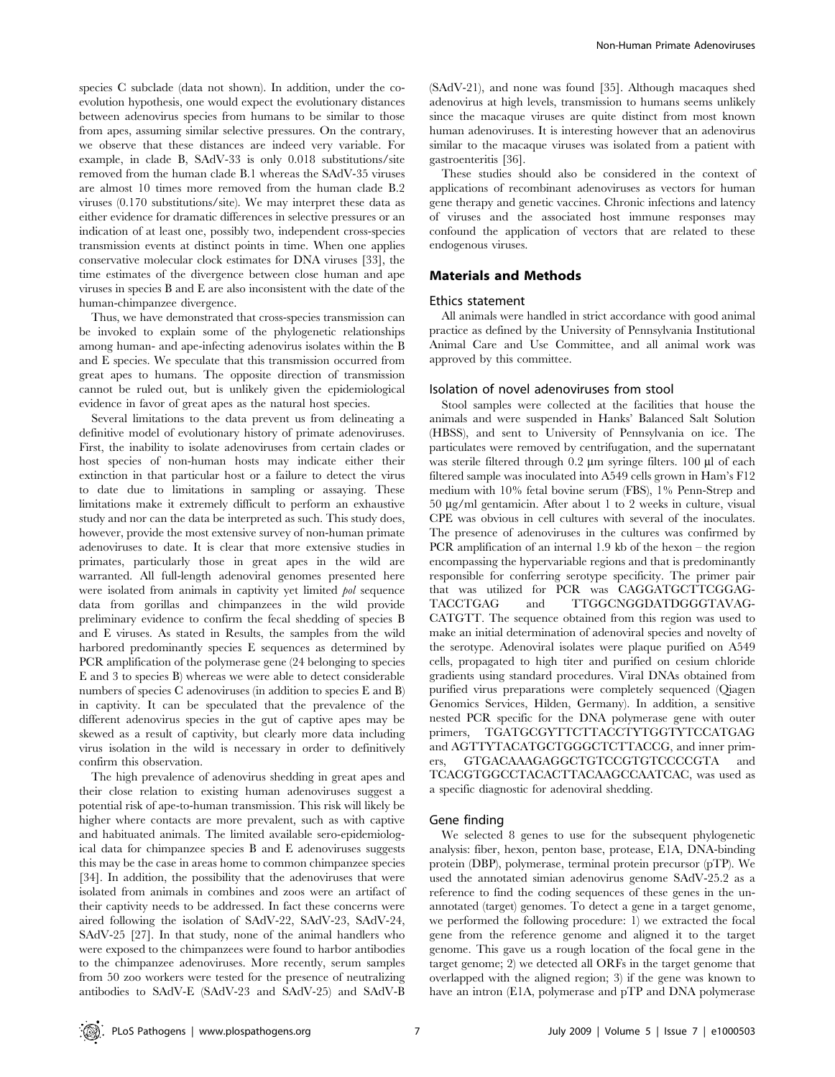species C subclade (data not shown). In addition, under the coevolution hypothesis, one would expect the evolutionary distances between adenovirus species from humans to be similar to those from apes, assuming similar selective pressures. On the contrary, we observe that these distances are indeed very variable. For example, in clade B, SAdV-33 is only 0.018 substitutions/site removed from the human clade B.1 whereas the SAdV-35 viruses are almost 10 times more removed from the human clade B.2 viruses (0.170 substitutions/site). We may interpret these data as either evidence for dramatic differences in selective pressures or an indication of at least one, possibly two, independent cross-species transmission events at distinct points in time. When one applies conservative molecular clock estimates for DNA viruses [33], the time estimates of the divergence between close human and ape viruses in species B and E are also inconsistent with the date of the human-chimpanzee divergence.

Thus, we have demonstrated that cross-species transmission can be invoked to explain some of the phylogenetic relationships among human- and ape-infecting adenovirus isolates within the B and E species. We speculate that this transmission occurred from great apes to humans. The opposite direction of transmission cannot be ruled out, but is unlikely given the epidemiological evidence in favor of great apes as the natural host species.

Several limitations to the data prevent us from delineating a definitive model of evolutionary history of primate adenoviruses. First, the inability to isolate adenoviruses from certain clades or host species of non-human hosts may indicate either their extinction in that particular host or a failure to detect the virus to date due to limitations in sampling or assaying. These limitations make it extremely difficult to perform an exhaustive study and nor can the data be interpreted as such. This study does, however, provide the most extensive survey of non-human primate adenoviruses to date. It is clear that more extensive studies in primates, particularly those in great apes in the wild are warranted. All full-length adenoviral genomes presented here were isolated from animals in captivity yet limited pol sequence data from gorillas and chimpanzees in the wild provide preliminary evidence to confirm the fecal shedding of species B and E viruses. As stated in Results, the samples from the wild harbored predominantly species E sequences as determined by PCR amplification of the polymerase gene (24 belonging to species E and 3 to species B) whereas we were able to detect considerable numbers of species C adenoviruses (in addition to species E and B) in captivity. It can be speculated that the prevalence of the different adenovirus species in the gut of captive apes may be skewed as a result of captivity, but clearly more data including virus isolation in the wild is necessary in order to definitively confirm this observation.

The high prevalence of adenovirus shedding in great apes and their close relation to existing human adenoviruses suggest a potential risk of ape-to-human transmission. This risk will likely be higher where contacts are more prevalent, such as with captive and habituated animals. The limited available sero-epidemiological data for chimpanzee species B and E adenoviruses suggests this may be the case in areas home to common chimpanzee species [34]. In addition, the possibility that the adenoviruses that were isolated from animals in combines and zoos were an artifact of their captivity needs to be addressed. In fact these concerns were aired following the isolation of SAdV-22, SAdV-23, SAdV-24, SAdV-25 [27]. In that study, none of the animal handlers who were exposed to the chimpanzees were found to harbor antibodies to the chimpanzee adenoviruses. More recently, serum samples from 50 zoo workers were tested for the presence of neutralizing antibodies to SAdV-E (SAdV-23 and SAdV-25) and SAdV-B

(SAdV-21), and none was found [35]. Although macaques shed adenovirus at high levels, transmission to humans seems unlikely since the macaque viruses are quite distinct from most known human adenoviruses. It is interesting however that an adenovirus similar to the macaque viruses was isolated from a patient with gastroenteritis [36].

These studies should also be considered in the context of applications of recombinant adenoviruses as vectors for human gene therapy and genetic vaccines. Chronic infections and latency of viruses and the associated host immune responses may confound the application of vectors that are related to these endogenous viruses.

## Materials and Methods

#### Ethics statement

All animals were handled in strict accordance with good animal practice as defined by the University of Pennsylvania Institutional Animal Care and Use Committee, and all animal work was approved by this committee.

#### Isolation of novel adenoviruses from stool

Stool samples were collected at the facilities that house the animals and were suspended in Hanks' Balanced Salt Solution (HBSS), and sent to University of Pennsylvania on ice. The particulates were removed by centrifugation, and the supernatant was sterile filtered through  $0.2 \mu m$  syringe filters. 100  $\mu$ l of each filtered sample was inoculated into A549 cells grown in Ham's F12 medium with 10% fetal bovine serum (FBS), 1% Penn-Strep and  $50 \mu g/ml$  gentamicin. After about 1 to 2 weeks in culture, visual CPE was obvious in cell cultures with several of the inoculates. The presence of adenoviruses in the cultures was confirmed by PCR amplification of an internal 1.9 kb of the hexon – the region encompassing the hypervariable regions and that is predominantly responsible for conferring serotype specificity. The primer pair that was utilized for PCR was CAGGATGCTTCGGAG-TACCTGAG and TTGGCNGGDATDGGGTAVAG-CATGTT. The sequence obtained from this region was used to make an initial determination of adenoviral species and novelty of the serotype. Adenoviral isolates were plaque purified on A549 cells, propagated to high titer and purified on cesium chloride gradients using standard procedures. Viral DNAs obtained from purified virus preparations were completely sequenced (Qiagen Genomics Services, Hilden, Germany). In addition, a sensitive nested PCR specific for the DNA polymerase gene with outer primers, TGATGCGYTTCTTACCTYTGGTYTCCATGAG and AGTTYTACATGCTGGGCTCTTACCG, and inner primers, GTGACAAAGAGGCTGTCCGTGTCCCCGTA and TCACGTGGCCTACACTTACAAGCCAATCAC, was used as a specific diagnostic for adenoviral shedding.

## Gene finding

We selected 8 genes to use for the subsequent phylogenetic analysis: fiber, hexon, penton base, protease, E1A, DNA-binding protein (DBP), polymerase, terminal protein precursor (pTP). We used the annotated simian adenovirus genome SAdV-25.2 as a reference to find the coding sequences of these genes in the unannotated (target) genomes. To detect a gene in a target genome, we performed the following procedure: 1) we extracted the focal gene from the reference genome and aligned it to the target genome. This gave us a rough location of the focal gene in the target genome; 2) we detected all ORFs in the target genome that overlapped with the aligned region; 3) if the gene was known to have an intron (E1A, polymerase and pTP and DNA polymerase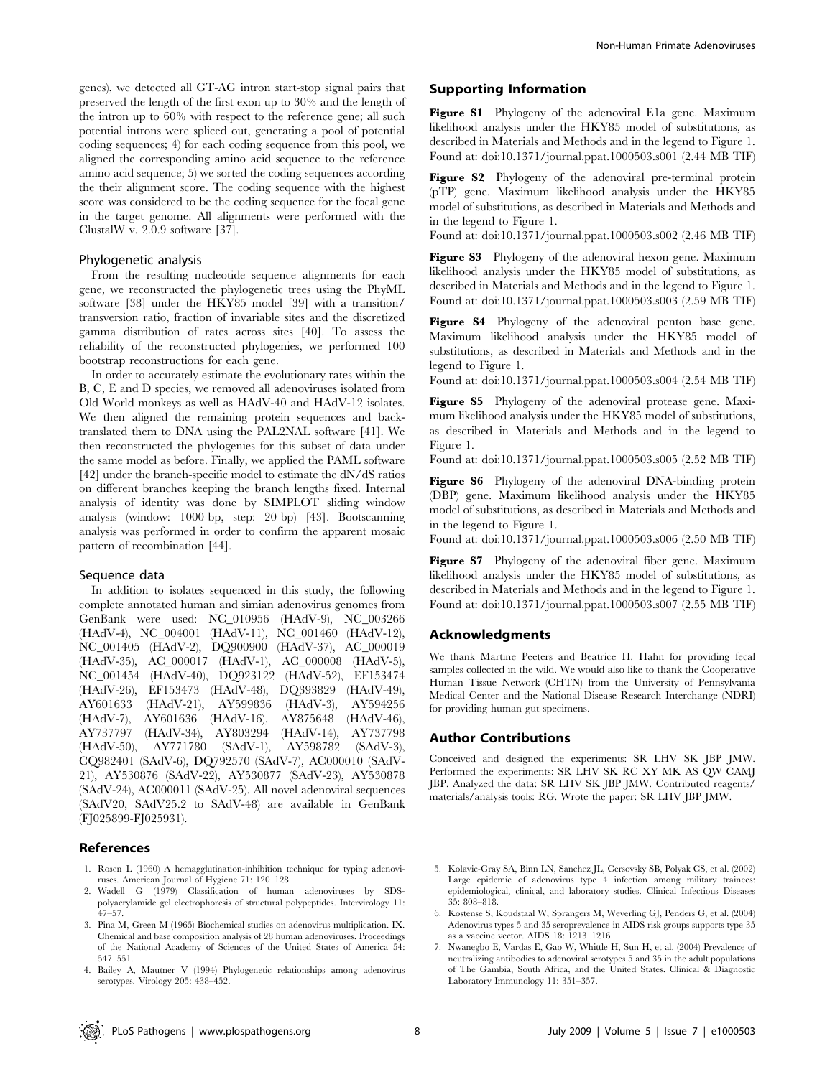genes), we detected all GT-AG intron start-stop signal pairs that preserved the length of the first exon up to 30% and the length of the intron up to 60% with respect to the reference gene; all such potential introns were spliced out, generating a pool of potential coding sequences; 4) for each coding sequence from this pool, we aligned the corresponding amino acid sequence to the reference amino acid sequence; 5) we sorted the coding sequences according the their alignment score. The coding sequence with the highest score was considered to be the coding sequence for the focal gene in the target genome. All alignments were performed with the ClustalW v. 2.0.9 software [37].

# Phylogenetic analysis

From the resulting nucleotide sequence alignments for each gene, we reconstructed the phylogenetic trees using the PhyML software [38] under the HKY85 model [39] with a transition/ transversion ratio, fraction of invariable sites and the discretized gamma distribution of rates across sites [40]. To assess the reliability of the reconstructed phylogenies, we performed 100 bootstrap reconstructions for each gene.

In order to accurately estimate the evolutionary rates within the B, C, E and D species, we removed all adenoviruses isolated from Old World monkeys as well as HAdV-40 and HAdV-12 isolates. We then aligned the remaining protein sequences and backtranslated them to DNA using the PAL2NAL software [41]. We then reconstructed the phylogenies for this subset of data under the same model as before. Finally, we applied the PAML software [42] under the branch-specific model to estimate the dN/dS ratios on different branches keeping the branch lengths fixed. Internal analysis of identity was done by SIMPLOT sliding window analysis (window: 1000 bp, step: 20 bp) [43]. Bootscanning analysis was performed in order to confirm the apparent mosaic pattern of recombination [44].

## Sequence data

In addition to isolates sequenced in this study, the following complete annotated human and simian adenovirus genomes from GenBank were used: NC\_010956 (HAdV-9), NC\_003266 (HAdV-4), NC\_004001 (HAdV-11), NC\_001460 (HAdV-12), NC\_001405 (HAdV-2), DQ900900 (HAdV-37), AC\_000019 (HAdV-35), AC\_000017 (HAdV-1), AC\_000008 (HAdV-5), NC\_001454 (HAdV-40), DQ923122 (HAdV-52), EF153474 (HAdV-26), EF153473 (HAdV-48), DQ393829 (HAdV-49), AY601633 (HAdV-21), AY599836 (HAdV-3), AY594256 (HAdV-7), AY601636 (HAdV-16), AY875648 (HAdV-46), AY737797 (HAdV-34), AY803294 (HAdV-14), AY737798 (HAdV-50), AY771780 (SAdV-1), AY598782 (SAdV-3), CQ982401 (SAdV-6), DQ792570 (SAdV-7), AC000010 (SAdV-21), AY530876 (SAdV-22), AY530877 (SAdV-23), AY530878 (SAdV-24), AC000011 (SAdV-25). All novel adenoviral sequences (SAdV20, SAdV25.2 to SAdV-48) are available in GenBank (FJ025899-FJ025931).

## References

- 1. Rosen L (1960) A hemagglutination-inhibition technique for typing adenoviruses. American Journal of Hygiene 71: 120–128.
- 2. Wadell G (1979) Classification of human adenoviruses by SDSpolyacrylamide gel electrophoresis of structural polypeptides. Intervirology 11: 47–57.
- 3. Pina M, Green M (1965) Biochemical studies on adenovirus multiplication. IX. Chemical and base composition analysis of 28 human adenoviruses. Proceedings of the National Academy of Sciences of the United States of America 54: 547–551.
- 4. Bailey A, Mautner V (1994) Phylogenetic relationships among adenovirus serotypes. Virology 205: 438–452.

# Supporting Information

Figure S1 Phylogeny of the adenoviral E1a gene. Maximum likelihood analysis under the HKY85 model of substitutions, as described in Materials and Methods and in the legend to Figure 1. Found at: doi:10.1371/journal.ppat.1000503.s001 (2.44 MB TIF)

Figure S2 Phylogeny of the adenoviral pre-terminal protein (pTP) gene. Maximum likelihood analysis under the HKY85 model of substitutions, as described in Materials and Methods and in the legend to Figure 1.

Found at: doi:10.1371/journal.ppat.1000503.s002 (2.46 MB TIF)

Figure S3 Phylogeny of the adenoviral hexon gene. Maximum likelihood analysis under the HKY85 model of substitutions, as described in Materials and Methods and in the legend to Figure 1. Found at: doi:10.1371/journal.ppat.1000503.s003 (2.59 MB TIF)

Figure S4 Phylogeny of the adenoviral penton base gene. Maximum likelihood analysis under the HKY85 model of substitutions, as described in Materials and Methods and in the legend to Figure 1.

Found at: doi:10.1371/journal.ppat.1000503.s004 (2.54 MB TIF)

Figure S5 Phylogeny of the adenoviral protease gene. Maximum likelihood analysis under the HKY85 model of substitutions, as described in Materials and Methods and in the legend to Figure 1.

Found at: doi:10.1371/journal.ppat.1000503.s005 (2.52 MB TIF)

Figure S6 Phylogeny of the adenoviral DNA-binding protein (DBP) gene. Maximum likelihood analysis under the HKY85 model of substitutions, as described in Materials and Methods and in the legend to Figure 1.

Found at: doi:10.1371/journal.ppat.1000503.s006 (2.50 MB TIF)

Figure S7 Phylogeny of the adenoviral fiber gene. Maximum likelihood analysis under the HKY85 model of substitutions, as described in Materials and Methods and in the legend to Figure 1. Found at: doi:10.1371/journal.ppat.1000503.s007 (2.55 MB TIF)

## Acknowledgments

We thank Martine Peeters and Beatrice H. Hahn for providing fecal samples collected in the wild. We would also like to thank the Cooperative Human Tissue Network (CHTN) from the University of Pennsylvania Medical Center and the National Disease Research Interchange (NDRI) for providing human gut specimens.

## Author Contributions

Conceived and designed the experiments: SR LHV SK JBP JMW. Performed the experiments: SR LHV SK RC XY MK AS QW CAMJ JBP. Analyzed the data: SR LHV SK JBP JMW. Contributed reagents/ materials/analysis tools: RG. Wrote the paper: SR LHV JBP JMW.

- 5. Kolavic-Gray SA, Binn LN, Sanchez JL, Cersovsky SB, Polyak CS, et al. (2002) Large epidemic of adenovirus type 4 infection among military trainees: epidemiological, clinical, and laboratory studies. Clinical Infectious Diseases 35: 808–818.
- 6. Kostense S, Koudstaal W, Sprangers M, Weverling GJ, Penders G, et al. (2004) Adenovirus types 5 and 35 seroprevalence in AIDS risk groups supports type 35 as a vaccine vector. AIDS 18: 1213–1216.
- 7. Nwanegbo E, Vardas E, Gao W, Whittle H, Sun H, et al. (2004) Prevalence of neutralizing antibodies to adenoviral serotypes 5 and 35 in the adult populations of The Gambia, South Africa, and the United States. Clinical & Diagnostic Laboratory Immunology 11: 351–357.